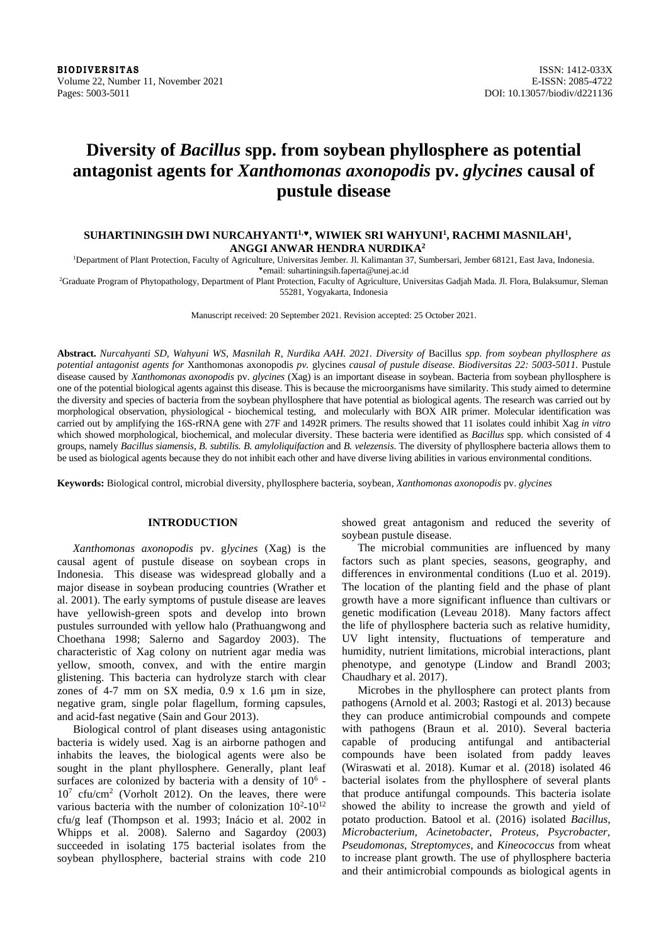**BIODIVERSITAS** ISSN: 1412-033X<br>Volume 22, Number 11, November 2021 **ISSN: 20085-4722** Volume 22, Number 11, November 2021 Pages: 5003-5011 DOI: 10.13057/biodiv/d221136

# **Diversity of** *Bacillus* **spp. from soybean phyllosphere as potential antagonist agents for** *Xanthomonas axonopodis* **pv.** *glycines* **causal of pustule disease**

# **SUHARTININGSIH DWI NURCAHYANTI1,, WIWIEK SRI WAHYUNI<sup>1</sup> , RACHMI MASNILAH<sup>1</sup> , ANGGI ANWAR HENDRA NURDIKA<sup>2</sup>**

<sup>1</sup>Department of Plant Protection, Faculty of Agriculture, Universitas Jember. Jl. Kalimantan 37, Sumbersari, Jember 68121, East Java, Indonesia. email: suhartiningsih.faperta@unej.ac.id

<sup>2</sup>Graduate Program of Phytopathology, Department of Plant Protection, Faculty of Agriculture, Universitas Gadjah Mada. Jl. Flora, Bulaksumur, Sleman 55281, Yogyakarta, Indonesia

Manuscript received: 20 September 2021. Revision accepted: 25 October 2021.

**Abstract.** *Nurcahyanti SD, Wahyuni WS, Masnilah R, Nurdika AAH. 2021. Diversity of* Bacillus *spp. from soybean phyllosphere as potential antagonist agents for* Xanthomonas axonopodis *pv.* glycines *causal of pustule disease. Biodiversitas 22: 5003-5011.* Pustule disease caused by *Xanthomonas axonopodis* pv. *glycines* (Xag) is an important disease in soybean. Bacteria from soybean phyllosphere is one of the potential biological agents against this disease. This is because the microorganisms have similarity. This study aimed to determine the diversity and species of bacteria from the soybean phyllosphere that have potential as biological agents. The research was carried out by morphological observation, physiological - biochemical testing, and molecularly with BOX AIR primer. Molecular identification was carried out by amplifying the 16S-rRNA gene with 27F and 1492R primers. The results showed that 11 isolates could inhibit Xag *in vitro* which showed morphological, biochemical, and molecular diversity. These bacteria were identified as *Bacillus* spp. which consisted of 4 groups, namely *Bacillus siamensis*, *B. subtilis. B. amyloliquifaction* and *B. velezensis*. The diversity of phyllosphere bacteria allows them to be used as biological agents because they do not inhibit each other and have diverse living abilities in various environmental conditions.

**Keywords:** Biological control, microbial diversity, phyllosphere bacteria, soybean, *Xanthomonas axonopodis* pv. *glycines*

# **INTRODUCTION**

*Xanthomonas axonopodis* pv. g*lycines* (Xag) is the causal agent of pustule disease on soybean crops in Indonesia. This disease was widespread globally and a major disease in soybean producing countries (Wrather et al. 2001). The early symptoms of pustule disease are leaves have yellowish-green spots and develop into brown pustules surrounded with yellow halo (Prathuangwong and Choethana 1998; Salerno and Sagardoy 2003). The characteristic of Xag colony on nutrient agar media was yellow, smooth, convex, and with the entire margin glistening. This bacteria can hydrolyze starch with clear zones of 4-7 mm on SX media, 0.9 x 1.6 µm in size, negative gram, single polar flagellum, forming capsules, and acid-fast negative (Sain and Gour 2013).

Biological control of plant diseases using antagonistic bacteria is widely used. Xag is an airborne pathogen and inhabits the leaves, the biological agents were also be sought in the plant phyllosphere. Generally, plant leaf surfaces are colonized by bacteria with a density of  $10<sup>6</sup>$  - $10<sup>7</sup>$  cfu/cm<sup>2</sup> (Vorholt 2012). On the leaves, there were various bacteria with the number of colonization  $10^2$ - $10^{12}$ cfu/g leaf (Thompson et al. 1993; Inácio et al. 2002 in Whipps et al. 2008). Salerno and Sagardoy (2003) succeeded in isolating 175 bacterial isolates from the soybean phyllosphere, bacterial strains with code 210

showed great antagonism and reduced the severity of soybean pustule disease.

The microbial communities are influenced by many factors such as plant species, seasons, geography, and differences in environmental conditions (Luo et al. 2019). The location of the planting field and the phase of plant growth have a more significant influence than cultivars or genetic modification (Leveau 2018). Many factors affect the life of phyllosphere bacteria such as relative humidity, UV light intensity, fluctuations of temperature and humidity, nutrient limitations, microbial interactions, plant phenotype, and genotype (Lindow and Brandl 2003; Chaudhary et al. 2017).

Microbes in the phyllosphere can protect plants from pathogens (Arnold et al. 2003; Rastogi et al. 2013) because they can produce antimicrobial compounds and compete with pathogens (Braun et al. 2010). Several bacteria capable of producing antifungal and antibacterial compounds have been isolated from paddy leaves (Wiraswati et al. 2018). Kumar et al. (2018) isolated 46 bacterial isolates from the phyllosphere of several plants that produce antifungal compounds. This bacteria isolate showed the ability to increase the growth and yield of potato production. Batool et al. (2016) isolated *Bacillus, Microbacterium, Acinetobacter, Proteus, Psycrobacter, Pseudomonas, Streptomyces,* and *Kineococcus* from wheat to increase plant growth. The use of phyllosphere bacteria and their antimicrobial compounds as biological agents in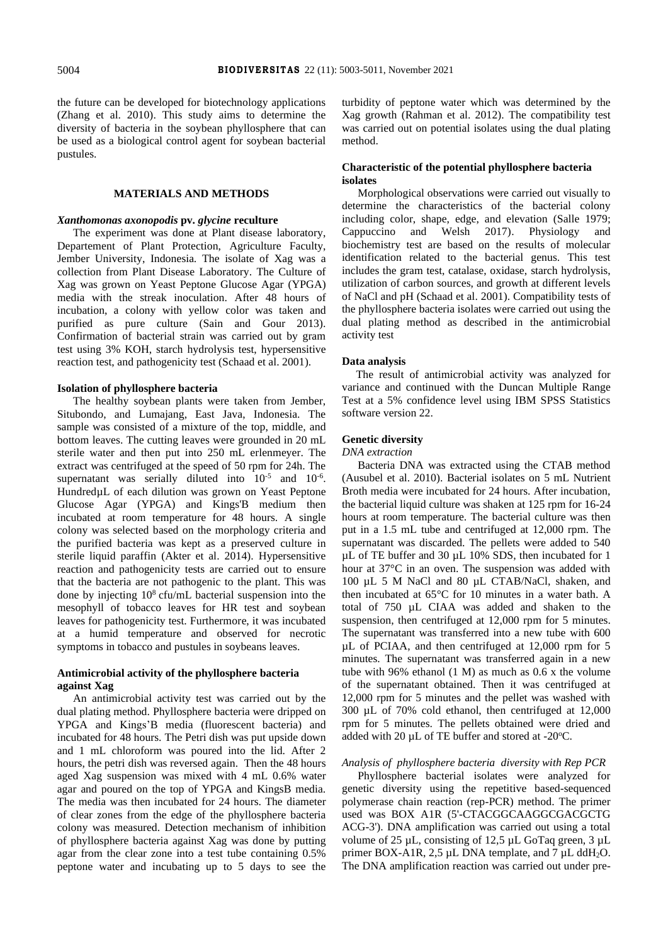the future can be developed for biotechnology applications (Zhang et al. 2010). This study aims to determine the diversity of bacteria in the soybean phyllosphere that can be used as a biological control agent for soybean bacterial pustules.

# **MATERIALS AND METHODS**

#### *Xanthomonas axonopodis* **pv.** *glycine* **reculture**

The experiment was done at Plant disease laboratory, Departement of Plant Protection, Agriculture Faculty, Jember University, Indonesia. The isolate of Xag was a collection from Plant Disease Laboratory. The Culture of Xag was grown on Yeast Peptone Glucose Agar (YPGA) media with the streak inoculation. After 48 hours of incubation, a colony with yellow color was taken and purified as pure culture (Sain and Gour 2013). Confirmation of bacterial strain was carried out by gram test using 3% KOH, starch hydrolysis test, hypersensitive reaction test, and pathogenicity test (Schaad et al. 2001).

# **Isolation of phyllosphere bacteria**

The healthy soybean plants were taken from Jember, Situbondo, and Lumajang, East Java, Indonesia. The sample was consisted of a mixture of the top, middle, and bottom leaves. The cutting leaves were grounded in 20 mL sterile water and then put into 250 mL erlenmeyer. The extract was centrifuged at the speed of 50 rpm for 24h. The supernatant was serially diluted into  $10^{-5}$  and  $10^{-6}$ . HundredµL of each dilution was grown on Yeast Peptone Glucose Agar (YPGA) and Kings'B medium then incubated at room temperature for 48 hours. A single colony was selected based on the morphology criteria and the purified bacteria was kept as a preserved culture in sterile liquid paraffin (Akter et al. 2014). Hypersensitive reaction and pathogenicity tests are carried out to ensure that the bacteria are not pathogenic to the plant. This was done by injecting  $10^8$  cfu/mL bacterial suspension into the mesophyll of tobacco leaves for HR test and soybean leaves for pathogenicity test. Furthermore, it was incubated at a humid temperature and observed for necrotic symptoms in tobacco and pustules in soybeans leaves.

# **Antimicrobial activity of the phyllosphere bacteria against Xag**

An antimicrobial activity test was carried out by the dual plating method. Phyllosphere bacteria were dripped on YPGA and Kings'B media (fluorescent bacteria) and incubated for 48 hours. The Petri dish was put upside down and 1 mL chloroform was poured into the lid. After 2 hours, the petri dish was reversed again. Then the 48 hours aged Xag suspension was mixed with 4 mL 0.6% water agar and poured on the top of YPGA and KingsB media. The media was then incubated for 24 hours. The diameter of clear zones from the edge of the phyllosphere bacteria colony was measured. Detection mechanism of inhibition of phyllosphere bacteria against Xag was done by putting agar from the clear zone into a test tube containing 0.5% peptone water and incubating up to 5 days to see the

turbidity of peptone water which was determined by the Xag growth (Rahman et al. 2012). The compatibility test was carried out on potential isolates using the dual plating method.

# **Characteristic of the potential phyllosphere bacteria isolates**

Morphological observations were carried out visually to determine the characteristics of the bacterial colony including color, shape, edge, and elevation (Salle 1979; Cappuccino and Welsh 2017). Physiology and biochemistry test are based on the results of molecular identification related to the bacterial genus. This test includes the gram test, catalase, oxidase, starch hydrolysis, utilization of carbon sources, and growth at different levels of NaCl and pH (Schaad et al. 2001). Compatibility tests of the phyllosphere bacteria isolates were carried out using the dual plating method as described in the antimicrobial activity test

### **Data analysis**

 The result of antimicrobial activity was analyzed for variance and continued with the Duncan Multiple Range Test at a 5% confidence level using IBM SPSS Statistics software version 22.

#### **Genetic diversity**

#### *DNA extraction*

Bacteria DNA was extracted using the CTAB method (Ausubel et al. 2010). Bacterial isolates on 5 mL Nutrient Broth media were incubated for 24 hours. After incubation, the bacterial liquid culture was shaken at 125 rpm for 16-24 hours at room temperature. The bacterial culture was then put in a 1.5 mL tube and centrifuged at 12,000 rpm. The supernatant was discarded. The pellets were added to 540 µL of TE buffer and 30 µL 10% SDS, then incubated for 1 hour at 37°C in an oven. The suspension was added with 100 µL 5 M NaCl and 80 µL CTAB/NaCl, shaken, and then incubated at 65°C for 10 minutes in a water bath. A total of 750 µL CIAA was added and shaken to the suspension, then centrifuged at 12,000 rpm for 5 minutes. The supernatant was transferred into a new tube with 600 µL of PCIAA, and then centrifuged at 12,000 rpm for 5 minutes. The supernatant was transferred again in a new tube with 96% ethanol (1 M) as much as 0.6 x the volume of the supernatant obtained. Then it was centrifuged at 12,000 rpm for 5 minutes and the pellet was washed with 300 µL of 70% cold ethanol, then centrifuged at 12,000 rpm for 5 minutes. The pellets obtained were dried and added with 20  $\mu$ L of TE buffer and stored at -20 $\degree$ C.

### *Analysis of phyllosphere bacteria diversity with Rep PCR*

Phyllosphere bacterial isolates were analyzed for genetic diversity using the repetitive based-sequenced polymerase chain reaction (rep-PCR) method. The primer used was BOX A1R (5'-CTACGGCAAGGCGACGCTG ACG-3'). DNA amplification was carried out using a total volume of 25 µL, consisting of 12,5 µL GoTaq green, 3 µL primer BOX-A1R, 2,5 µL DNA template, and 7 µL ddH<sub>2</sub>O. The DNA amplification reaction was carried out under pre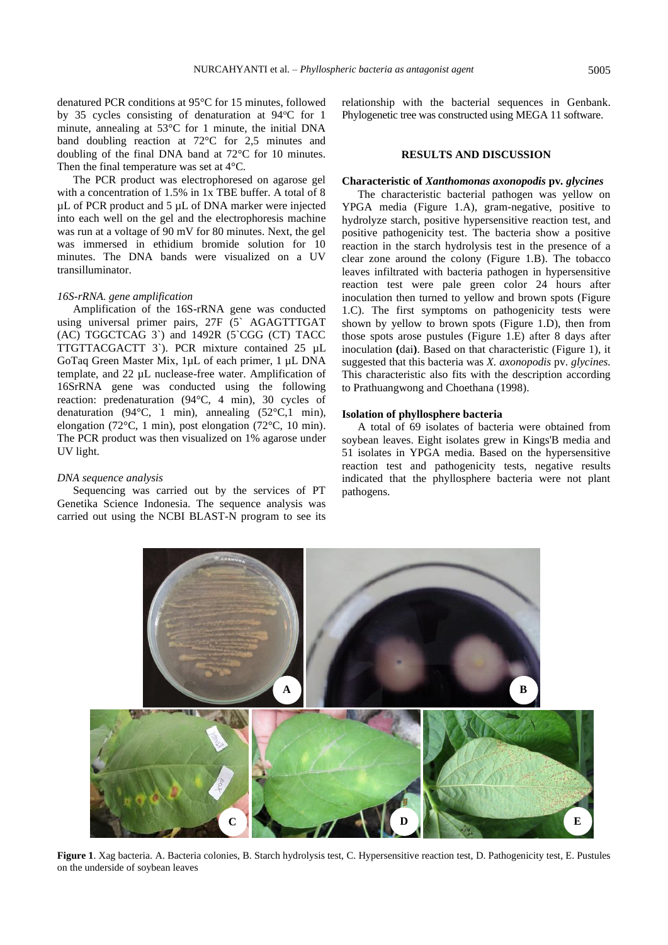denatured PCR conditions at 95°C for 15 minutes, followed by 35 cycles consisting of denaturation at  $94^{\circ}$ C for 1 minute, annealing at 53°C for 1 minute, the initial DNA band doubling reaction at 72°C for 2,5 minutes and doubling of the final DNA band at 72°C for 10 minutes. Then the final temperature was set at 4°C.

The PCR product was electrophoresed on agarose gel with a concentration of 1.5% in 1x TBE buffer. A total of 8 µL of PCR product and 5 µL of DNA marker were injected into each well on the gel and the electrophoresis machine was run at a voltage of 90 mV for 80 minutes. Next, the gel was immersed in ethidium bromide solution for 10 minutes. The DNA bands were visualized on a UV transilluminator.

#### *16S-rRNA. gene amplification*

Amplification of the 16S-rRNA gene was conducted using universal primer pairs, 27F (5` AGAGTTTGAT (AC) TGGCTCAG 3`) and 1492R (5`CGG (CT) TACC TTGTTACGACTT 3`). PCR mixture contained 25 µL GoTaq Green Master Mix, 1µL of each primer, 1 µL DNA template, and 22 µL nuclease-free water. Amplification of 16SrRNA gene was conducted using the following reaction: predenaturation (94°C, 4 min), 30 cycles of denaturation (94 $\degree$ C, 1 min), annealing (52 $\degree$ C,1 min), elongation (72°C, 1 min), post elongation (72°C, 10 min). The PCR product was then visualized on 1% agarose under UV light.

#### *DNA sequence analysis*

Sequencing was carried out by the services of PT Genetika Science Indonesia. The sequence analysis was carried out using the NCBI BLAST-N program to see its relationship with the bacterial sequences in Genbank. Phylogenetic tree was constructed using MEGA 11 software.

# **RESULTS AND DISCUSSION**

# **Characteristic of** *Xanthomonas axonopodis* **pv***. glycines*

The characteristic bacterial pathogen was yellow on YPGA media (Figure 1.A), gram-negative, positive to hydrolyze starch, positive hypersensitive reaction test, and positive pathogenicity test. The bacteria show a positive reaction in the starch hydrolysis test in the presence of a clear zone around the colony (Figure 1.B). The tobacco leaves infiltrated with bacteria pathogen in hypersensitive reaction test were pale green color 24 hours after inoculation then turned to yellow and brown spots (Figure 1.C). The first symptoms on pathogenicity tests were shown by yellow to brown spots (Figure 1.D), then from those spots arose pustules (Figure 1.E) after 8 days after inoculation **(**dai**)**. Based on that characteristic (Figure 1), it suggested that this bacteria was *X. axonopodis* pv. *glycines.*  This characteristic also fits with the description according to Prathuangwong and Choethana (1998).

# **Isolation of phyllosphere bacteria**

A total of 69 isolates of bacteria were obtained from soybean leaves. Eight isolates grew in Kings'B media and 51 isolates in YPGA media. Based on the hypersensitive reaction test and pathogenicity tests, negative results indicated that the phyllosphere bacteria were not plant pathogens.

**A B C D E**

**Figure 1**. Xag bacteria. A. Bacteria colonies, B. Starch hydrolysis test, C. Hypersensitive reaction test, D. Pathogenicity test, E. Pustules on the underside of soybean leaves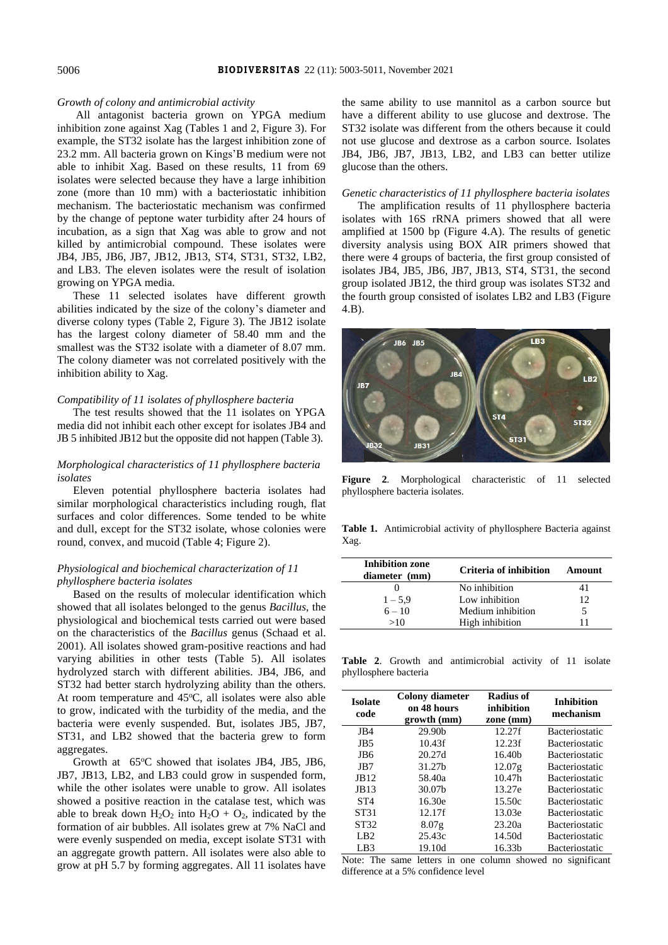#### *Growth of colony and antimicrobial activity*

All antagonist bacteria grown on YPGA medium inhibition zone against Xag (Tables 1 and 2, Figure 3). For example, the ST32 isolate has the largest inhibition zone of 23.2 mm. All bacteria grown on Kings'B medium were not able to inhibit Xag. Based on these results, 11 from 69 isolates were selected because they have a large inhibition zone (more than 10 mm) with a bacteriostatic inhibition mechanism. The bacteriostatic mechanism was confirmed by the change of peptone water turbidity after 24 hours of incubation, as a sign that Xag was able to grow and not killed by antimicrobial compound. These isolates were JB4, JB5, JB6, JB7, JB12, JB13, ST4, ST31, ST32, LB2, and LB3. The eleven isolates were the result of isolation growing on YPGA media.

These 11 selected isolates have different growth abilities indicated by the size of the colony's diameter and diverse colony types (Table 2, Figure 3). The JB12 isolate has the largest colony diameter of 58.40 mm and the smallest was the ST32 isolate with a diameter of 8.07 mm. The colony diameter was not correlated positively with the inhibition ability to Xag.

# *Compatibility of 11 isolates of phyllosphere bacteria*

The test results showed that the 11 isolates on YPGA media did not inhibit each other except for isolates JB4 and JB 5 inhibited JB12 but the opposite did not happen (Table 3).

# *Morphological characteristics of 11 phyllosphere bacteria isolates*

Eleven potential phyllosphere bacteria isolates had similar morphological characteristics including rough, flat surfaces and color differences. Some tended to be white and dull, except for the ST32 isolate, whose colonies were round, convex, and mucoid (Table 4; Figure 2).

# *Physiological and biochemical characterization of 11 phyllosphere bacteria isolates*

Based on the results of molecular identification which showed that all isolates belonged to the genus *Bacillus*, the physiological and biochemical tests carried out were based on the characteristics of the *Bacillus* genus (Schaad et al. 2001). All isolates showed gram-positive reactions and had varying abilities in other tests (Table 5). All isolates hydrolyzed starch with different abilities. JB4, JB6, and ST32 had better starch hydrolyzing ability than the others. At room temperature and  $45^{\circ}$ C, all isolates were also able to grow, indicated with the turbidity of the media, and the bacteria were evenly suspended. But, isolates JB5, JB7, ST31, and LB2 showed that the bacteria grew to form aggregates.

Growth at  $65^{\circ}$ C showed that isolates JB4, JB5, JB6, JB7, JB13, LB2, and LB3 could grow in suspended form, while the other isolates were unable to grow. All isolates showed a positive reaction in the catalase test, which was able to break down  $H_2O_2$  into  $H_2O + O_2$ , indicated by the formation of air bubbles. All isolates grew at 7% NaCl and were evenly suspended on media, except isolate ST31 with an aggregate growth pattern. All isolates were also able to grow at pH 5.7 by forming aggregates. All 11 isolates have the same ability to use mannitol as a carbon source but have a different ability to use glucose and dextrose. The ST32 isolate was different from the others because it could not use glucose and dextrose as a carbon source. Isolates JB4, JB6, JB7, JB13, LB2, and LB3 can better utilize glucose than the others.

#### *Genetic characteristics of 11 phyllosphere bacteria isolates*

The amplification results of 11 phyllosphere bacteria isolates with 16S rRNA primers showed that all were amplified at 1500 bp (Figure 4.A). The results of genetic diversity analysis using BOX AIR primers showed that there were 4 groups of bacteria, the first group consisted of isolates JB4, JB5, JB6, JB7, JB13, ST4, ST31, the second group isolated JB12, the third group was isolates ST32 and the fourth group consisted of isolates LB2 and LB3 (Figure 4.B).



**Figure 2**. Morphological characteristic of 11 selected phyllosphere bacteria isolates.

**Table 1.** Antimicrobial activity of phyllosphere Bacteria against Xag.

| <b>Inhibition zone</b><br>diameter (mm) | Criteria of inhibition | Amount |
|-----------------------------------------|------------------------|--------|
|                                         | No inhibition          | 41     |
| $1 - 5.9$                               | Low inhibition         | 12     |
| $6 - 10$                                | Medium inhibition      |        |
| >10                                     | High inhibition        |        |

**Table 2**. Growth and antimicrobial activity of 11 isolate phyllosphere bacteria

| <b>Isolate</b><br>code | <b>Colony diameter</b><br>on 48 hours<br>growth (mm) | Radius of<br>inhibition<br>zone (mm) |                       |
|------------------------|------------------------------------------------------|--------------------------------------|-----------------------|
| JB4                    | 29.90 <sub>b</sub>                                   | 12.27f                               | <b>Bacteriostatic</b> |
| JB <sub>5</sub>        | 10.43f                                               | 12.23f                               | <b>Bacteriostatic</b> |
| JB6                    | 20.27d                                               | 16.40 <sub>b</sub>                   | <b>Bacteriostatic</b> |
| JB7                    | 31.27b                                               | 12.07 <sub>g</sub>                   | <b>Bacteriostatic</b> |
| JB12                   | 58.40a                                               | 10.47 <sub>h</sub>                   | <b>Bacteriostatic</b> |
| JB13                   | 30.07b                                               | 13.27e                               | <b>Bacteriostatic</b> |
| ST <sub>4</sub>        | 16.30e                                               | 15.50c                               | <b>Bacteriostatic</b> |
| ST31                   | 12.17f                                               | 13.03e                               | <b>Bacteriostatic</b> |
| ST32                   | 8.07 <sub>g</sub>                                    | 23.20a                               | <b>Bacteriostatic</b> |
| L <sub>B2</sub>        | 25.43c                                               | 14.50d                               | <b>Bacteriostatic</b> |
| LB <sub>3</sub>        | 19.10d                                               | 16.33 <sub>b</sub>                   | <b>Bacteriostatic</b> |

Note: The same letters in one column showed no significant difference at a 5% confidence level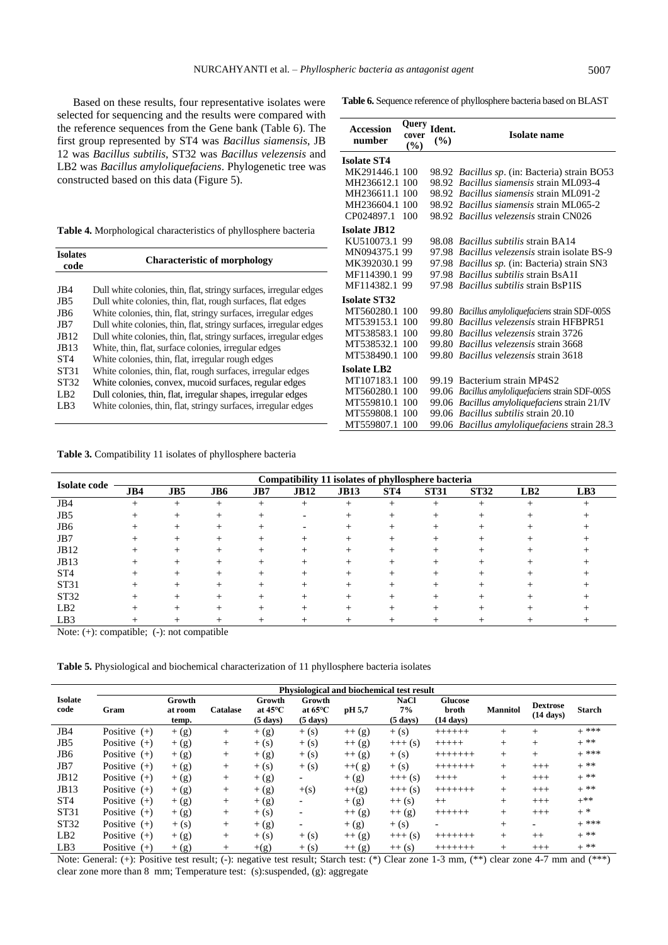Based on these results, four representative isolates were selected for sequencing and the results were compared with the reference sequences from the Gene bank (Table 6). The first group represented by ST4 was *Bacillus siamensis*, JB 12 was *Bacillus subtilis*, ST32 was *Bacillus velezensis* and LB2 was *Bacillus amyloliquefaciens*. Phylogenetic tree was constructed based on this data (Figure 5).

|  |  |  | Table 4. Morphological characteristics of phyllosphere bacteria |  |  |  |
|--|--|--|-----------------------------------------------------------------|--|--|--|
|--|--|--|-----------------------------------------------------------------|--|--|--|

| Isolates<br>code | <b>Characteristic of morphology</b>                                |
|------------------|--------------------------------------------------------------------|
|                  |                                                                    |
| JB4              | Dull white colonies, thin, flat, stringy surfaces, irregular edges |
| JB <sub>5</sub>  | Dull white colonies, thin, flat, rough surfaces, flat edges        |
| JB6              | White colonies, thin, flat, stringy surfaces, irregular edges      |
| JB7              | Dull white colonies, thin, flat, stringy surfaces, irregular edges |
| JB12             | Dull white colonies, thin, flat, stringy surfaces, irregular edges |
| JB13             | White, thin, flat, surface colonies, irregular edges               |
| ST <sub>4</sub>  | White colonies, thin, flat, irregular rough edges                  |
| ST31             | White colonies, thin, flat, rough surfaces, irregular edges        |
| ST32             | White colonies, convex, mucoid surfaces, regular edges             |
| LB <sub>2</sub>  | Dull colonies, thin, flat, irregular shapes, irregular edges       |
| LB3              | White colonies, thin, flat, stringy surfaces, irregular edges      |
|                  |                                                                    |

**Table 3.** Compatibility 11 isolates of phyllosphere bacteria

|                     | Compatibility 11 isolates of phyllosphere bacteria |        |        |        |             |             |        |             |             |        |     |  |
|---------------------|----------------------------------------------------|--------|--------|--------|-------------|-------------|--------|-------------|-------------|--------|-----|--|
| <b>Isolate code</b> | JB4                                                | JB5    | JB6    | JB7    | <b>JB12</b> | <b>JB13</b> | ST4    | <b>ST31</b> | <b>ST32</b> | LB2    | LB3 |  |
| JB4                 | $^{+}$                                             | $^{+}$ | $^{+}$ | $^{+}$ | $^{+}$      | $^{+}$      | $^{+}$ | $^+$        | $^+$        | $^{+}$ |     |  |
| JB <sub>5</sub>     |                                                    |        |        |        |             |             |        |             |             |        |     |  |
| JB <sub>6</sub>     |                                                    | $^{+}$ | $^{+}$ |        |             | +           |        |             |             |        |     |  |
| JB7                 | $^+$                                               | $^{+}$ | $\pm$  | $^{+}$ | $^{+}$      | $^{+}$      | $\pm$  |             | $\pm$       | $^+$   |     |  |
| JB12                | $^+$                                               | $^+$   | $^+$   | $^{+}$ | $^{+}$      | $^+$        | $^+$   |             |             | $^+$   |     |  |
| JB13                |                                                    |        |        |        |             |             |        |             |             |        |     |  |
| ST <sub>4</sub>     |                                                    | $^+$   | +      |        | $^+$        |             |        |             |             |        |     |  |
| ST31                | $^+$                                               | $^+$   | $\pm$  | $^{+}$ | $^{+}$      | $^+$        |        |             |             | $^+$   |     |  |
| ST <sub>32</sub>    | $^+$                                               | +      |        | $^+$   | $^{+}$      |             | $^+$   |             |             |        |     |  |
| LB2                 |                                                    |        |        |        |             |             |        |             |             |        |     |  |
| LB <sub>3</sub>     |                                                    |        |        |        |             |             |        |             |             |        |     |  |

Note: (+): compatible; (-): not compatible

**Table 5.** Physiological and biochemical characterization of 11 phyllosphere bacteria isolates

|                        |                | Physiological and biochemical test result |          |                                                   |                                                   |          |                                         |                                                |                 |                                        |               |
|------------------------|----------------|-------------------------------------------|----------|---------------------------------------------------|---------------------------------------------------|----------|-----------------------------------------|------------------------------------------------|-----------------|----------------------------------------|---------------|
| <b>Isolate</b><br>code | Gram           | Growth<br>at room<br>temp.                | Catalase | Growth<br>at $45^{\circ}$ C<br>$(5 \text{ days})$ | Growth<br>at $65^{\circ}$ C<br>$(5 \text{ days})$ | pH 5,7   | <b>NaCl</b><br>7%<br>$(5 \text{ days})$ | <b>Glucose</b><br>broth<br>$(14 \text{ days})$ | <b>Mannitol</b> | <b>Dextrose</b><br>$(14 \text{ days})$ | <b>Starch</b> |
| JB4                    | Positive $(+)$ | $+$ (g)                                   | $^{+}$   | $+$ (g)                                           | $+(s)$                                            | $++ (g)$ | $+(s)$                                  | $+++++$                                        | $^{+}$          | $^{+}$                                 | $+$ ***       |
| JB <sub>5</sub>        | Positive $(+)$ | $+(g)$                                    | $^{+}$   | $+(s)$                                            | $+(s)$                                            | $++ (g)$ | $+++(s)$                                | $+++++$                                        | $^{+}$          | $^{+}$                                 | $+$ **        |
| JB <sub>6</sub>        | Positive $(+)$ | $+$ (g)                                   | $^{+}$   | $+$ (g)                                           | $+(s)$                                            | $++ (g)$ | $+(s)$                                  | $++++++$                                       | $^{+}$          | $^{+}$                                 | $+$ ***       |
| JB7                    | Positive $(+)$ | $+$ (g)                                   | $^{+}$   | $+(s)$                                            | $+(s)$                                            | $++(g)$  | $+(s)$                                  | $++++++$                                       | $^{+}$          | $+++$                                  | $+$ **        |
| JB12                   | Positive $(+)$ | $+$ (g)                                   | $^{+}$   | $+$ (g)                                           | $\overline{\phantom{a}}$                          | $+$ (g)  | $+++ (s)$                               | $++++$                                         | $^{+}$          | $^{+++}$                               | $+$ **        |
| <b>JB13</b>            | Positive $(+)$ | $+$ (g)                                   | $^{+}$   | $+ (g)$                                           | $+(s)$                                            | $+(g)$   | $+++ (s)$                               | $++++++$                                       | $^{+}$          | $+++$                                  | $+$ **        |
| ST <sub>4</sub>        | Positive $(+)$ | $+$ (g)                                   | $^{+}$   | $+$ (g)                                           | $\overline{\phantom{a}}$                          | $+$ (g)  | $++ (s)$                                | $++$                                           | $^{+}$          | $+++$                                  | $+***$        |
| ST31                   | Positive $(+)$ | $+$ (g)                                   | $^{+}$   | $+(s)$                                            | $\overline{\phantom{a}}$                          | $++(g)$  | $++(g)$                                 | $++++++$                                       | $^{+}$          | $+++$                                  | $+$ *         |
| <b>ST32</b>            | Positive $(+)$ | $+(s)$                                    | $^{+}$   | $+$ (g)                                           | $\overline{\phantom{a}}$                          | $+$ (g)  | $+(s)$                                  | $\overline{\phantom{a}}$                       | $^{+}$          | $\overline{\phantom{a}}$               | $+$ ***       |
| LB2                    | Positive $(+)$ | $+$ (g)                                   | $^{+}$   | $+(s)$                                            | $+(s)$                                            | $++(g)$  | $+++ (s)$                               | $++++++$                                       | $^{+}$          | $++$                                   | $+$ **        |
| LB <sub>3</sub>        | Positive $(+)$ | $+$ (g)                                   | $^{+}$   | $+(g)$                                            | $+(s)$                                            | $++(g)$  | $++ (s)$                                | $++++++$                                       | $^{+}$          | $+++$                                  | $+$ **        |

Note: General: (+): Positive test result; (-): negative test result; Starch test: (\*) Clear zone 1-3 mm, (\*\*) clear zone 4-7 mm and (\*\*\*) clear zone more than 8 mm; Temperature test: (s):suspended, (g): aggregate

**Table 6.** Sequence reference of phyllosphere bacteria based on BLAST

| <b>Accession</b><br>number | Query<br>cover<br>(%) | Ident.<br>$\frac{1}{2}$ | <b>Isolate name</b>                            |
|----------------------------|-----------------------|-------------------------|------------------------------------------------|
| <b>Isolate ST4</b>         |                       |                         |                                                |
| MK291446.1 100             |                       |                         | 98.92 Bacillus sp. (in: Bacteria) strain BO53  |
| MH236612.1 100             |                       | 98.92                   | Bacillus siamensis strain ML093-4              |
| MH236611.1 100             |                       |                         | 98.92 <i>Bacillus siamensis</i> strain ML091-2 |
| MH236604.1 100             |                       |                         | 98.92 <i>Bacillus siamensis</i> strain ML065-2 |
| CP024897.1                 | 100                   |                         | 98.92 Bacillus velezensis strain CN026         |
| <b>Isolate JB12</b>        |                       |                         |                                                |
| KU510073.1 99              |                       | 98.08                   | <i>Bacillus subtilis strain BA14</i>           |
| MN094375.199               |                       | 97.98                   | <i>Bacillus velezensis</i> strain isolate BS-9 |
| MK392030.199               |                       | 97.98                   | <i>Bacillus sp.</i> (in: Bacteria) strain SN3  |
| MF114390.1                 | 99                    | 97.98                   | <i>Bacillus subtilis strain BsA1I</i>          |
| MF114382.1                 | 99                    | 97.98                   | <i>Bacillus subtilis strain BsP1IS</i>         |
| <b>Isolate ST32</b>        |                       |                         |                                                |
| MT560280.1                 | 100                   | 99.80                   | Bacillus amyloliquefaciens strain SDF-005S     |
| MT539153.1                 | 100                   | 99.80                   | Bacillus velezensis strain HFBPR51             |
| MT538583.1                 | 100                   | 99.80                   | <i>Bacillus velezensis strain 3726</i>         |
| MT538532.1                 | 100                   | 99.80                   | Bacillus velezensis strain 3668                |
| MT538490.1                 | 100                   | 99.80                   | Bacillus velezensis strain 3618                |
| <b>Isolate LB2</b>         |                       |                         |                                                |
| MT107183.1                 | 100                   | 99.19                   | Bacterium strain MP4S2                         |
| MT560280.1                 | 100                   | 99.06                   | Bacillus amyloliquefaciens strain SDF-005S     |
| MT559810.1                 | 100                   | 99.06                   | Bacillus amyloliquefaciens strain 21/IV        |
| MT559808.1                 | 100                   | 99.06                   | <i>Bacillus subtilis strain 20.10</i>          |
| MT559807.1                 | 100                   | 99.06                   | <i>Bacillus amyloliquefaciens strain 28.3</i>  |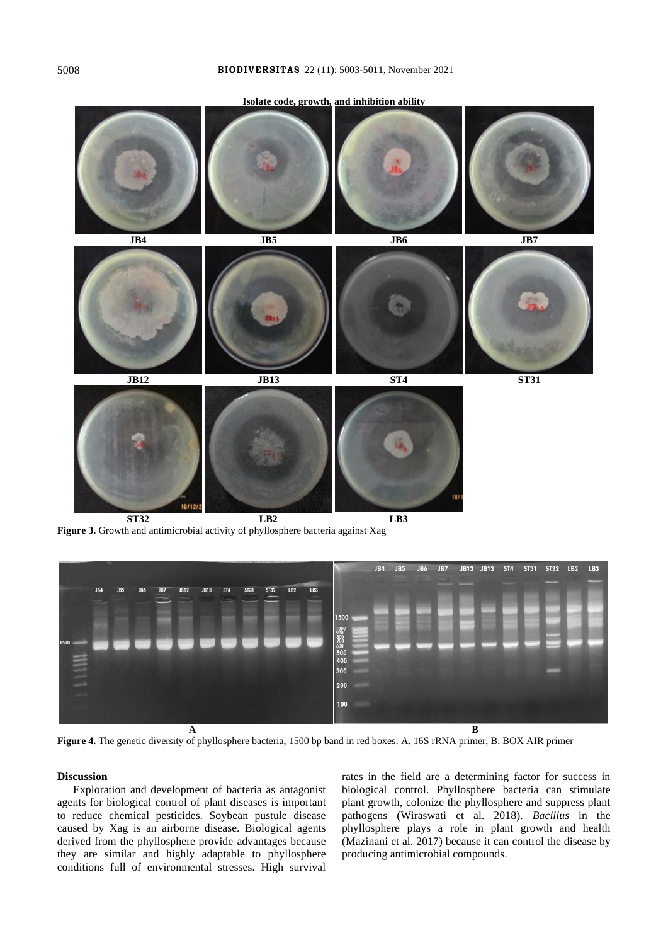# 5008 **B IO D I V E R S I T AS** 22 (11): 5003-5011, November 2021

**Isolate code, growth, and inhibition ability**



**Figure 3.** Growth and antimicrobial activity of phyllosphere bacteria against Xag



**Figure 4.** The genetic diversity of phyllosphere bacteria, 1500 bp band in red boxes: A. 16S rRNA primer, B. BOX AIR primer

### **Discussion**

Exploration and development of bacteria as antagonist agents for biological control of plant diseases is important to reduce chemical pesticides. Soybean pustule disease caused by Xag is an airborne disease. Biological agents derived from the phyllosphere provide advantages because they are similar and highly adaptable to phyllosphere conditions full of environmental stresses. High survival rates in the field are a determining factor for success in biological control. Phyllosphere bacteria can stimulate plant growth, colonize the phyllosphere and suppress plant pathogens (Wiraswati et al. 2018). *Bacillus* in the phyllosphere plays a role in plant growth and health (Mazinani et al. 2017) because it can control the disease by producing antimicrobial compounds.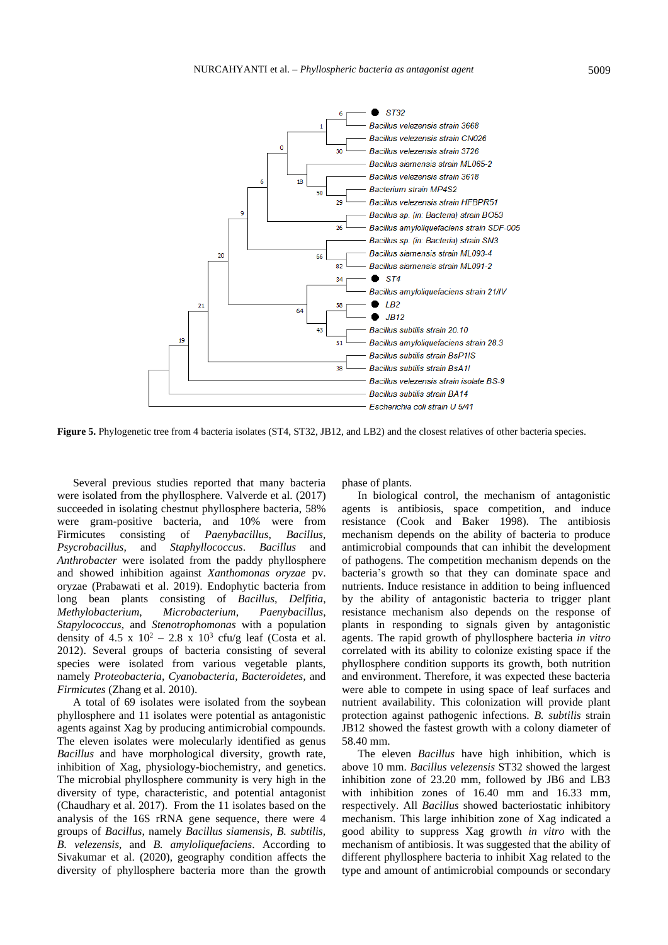

**Figure 5.** Phylogenetic tree from 4 bacteria isolates (ST4, ST32, JB12, and LB2) and the closest relatives of other bacteria species.

Several previous studies reported that many bacteria were isolated from the phyllosphere. Valverde et al. (2017) succeeded in isolating chestnut phyllosphere bacteria, 58% were gram-positive bacteria, and 10% were from Firmicutes consisting of *Paenybacillus*, *Bacillus*, *Psycrobacillus,* and *Staphyllococcus*. *Bacillus* and *Anthrobacter* were isolated from the paddy phyllosphere and showed inhibition against *Xanthomonas oryzae* pv. oryzae (Prabawati et al. 2019). Endophytic bacteria from long bean plants consisting of *Bacillus*, *Delfitia*, *Methylobacterium*, *Microbacterium*, *Paenybacillus*, *Stapylococcus*, and *Stenotrophomonas* with a population density of 4.5 x  $10^2 - 2.8$  x  $10^3$  cfu/g leaf (Costa et al. 2012). Several groups of bacteria consisting of several species were isolated from various vegetable plants, namely *Proteobacteria, Cyanobacteria, Bacteroidetes,* and *Firmicutes* (Zhang et al. 2010).

A total of 69 isolates were isolated from the soybean phyllosphere and 11 isolates were potential as antagonistic agents against Xag by producing antimicrobial compounds. The eleven isolates were molecularly identified as genus *Bacillus* and have morphological diversity, growth rate, inhibition of Xag, physiology-biochemistry, and genetics. The microbial phyllosphere community is very high in the diversity of type, characteristic, and potential antagonist (Chaudhary et al. 2017). From the 11 isolates based on the analysis of the 16S rRNA gene sequence, there were 4 groups of *Bacillus*, namely *Bacillus siamensis*, *B. subtilis, B. velezensis,* and *B. amyloliquefaciens*. According to Sivakumar et al. (2020), geography condition affects the diversity of phyllosphere bacteria more than the growth phase of plants.

In biological control, the mechanism of antagonistic agents is antibiosis, space competition, and induce resistance (Cook and Baker 1998). The antibiosis mechanism depends on the ability of bacteria to produce antimicrobial compounds that can inhibit the development of pathogens. The competition mechanism depends on the bacteria's growth so that they can dominate space and nutrients. Induce resistance in addition to being influenced by the ability of antagonistic bacteria to trigger plant resistance mechanism also depends on the response of plants in responding to signals given by antagonistic agents. The rapid growth of phyllosphere bacteria *in vitro* correlated with its ability to colonize existing space if the phyllosphere condition supports its growth, both nutrition and environment. Therefore, it was expected these bacteria were able to compete in using space of leaf surfaces and nutrient availability. This colonization will provide plant protection against pathogenic infections. *B. subtilis* strain JB12 showed the fastest growth with a colony diameter of 58.40 mm.

The eleven *Bacillus* have high inhibition, which is above 10 mm. *Bacillus velezensis* ST32 showed the largest inhibition zone of 23.20 mm, followed by JB6 and LB3 with inhibition zones of 16.40 mm and 16.33 mm, respectively. All *Bacillus* showed bacteriostatic inhibitory mechanism. This large inhibition zone of Xag indicated a good ability to suppress Xag growth *in vitro* with the mechanism of antibiosis. It was suggested that the ability of different phyllosphere bacteria to inhibit Xag related to the type and amount of antimicrobial compounds or secondary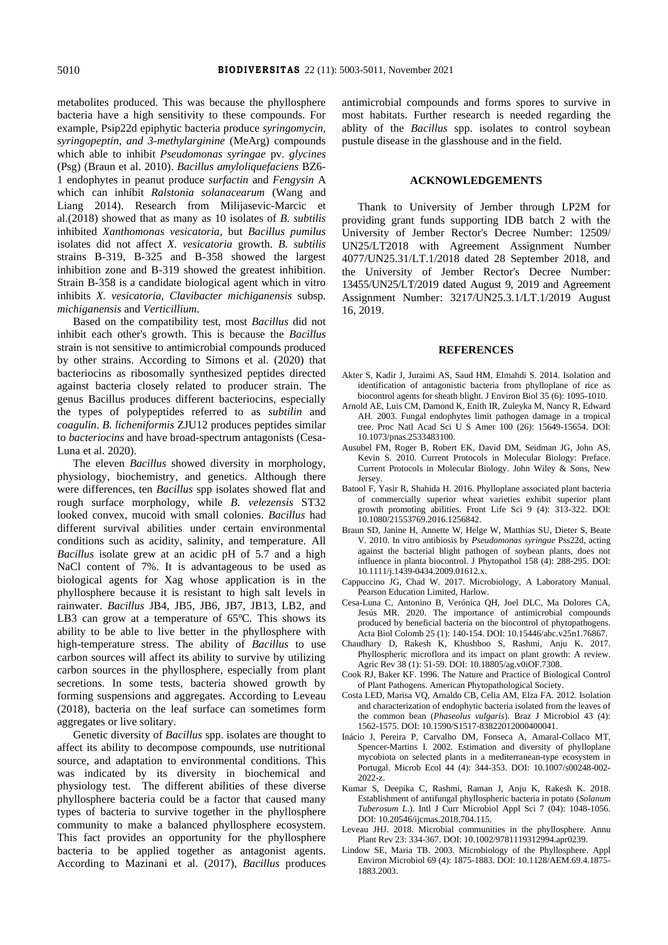metabolites produced. This was because the phyllosphere bacteria have a high sensitivity to these compounds. For example, Psip22d epiphytic bacteria produce *syringomycin, syringopeptin, and 3-methylarginine* (MeArg) compounds which able to inhibit *Pseudomonas syringae* pv. *glycines* (Psg) (Braun et al. 2010). *Bacillus amyloliquefaciens* BZ6- 1 endophytes in peanut produce *surfactin* and *Fengysin* A which can inhibit *Ralstonia solanacearum* (Wang and Liang 2014). Research from Milijasevic-Marcic et al.(2018) showed that as many as 10 isolates of *B. subtilis* inhibited *Xanthomonas vesicatoria*, but *Bacillus pumilus* isolates did not affect *X. vesicatoria* growth. *B. subtilis* strains B-319, B-325 and B-358 showed the largest inhibition zone and B-319 showed the greatest inhibition. Strain B-358 is a candidate biological agent which in vitro inhibits *X. vesicatoria, Clavibacter michiganensis* subsp*. michiganensis* and *Verticillium.*

Based on the compatibility test, most *Bacillus* did not inhibit each other's growth. This is because the *Bacillus* strain is not sensitive to antimicrobial compounds produced by other strains. According to Simons et al. (2020) that bacteriocins as ribosomally synthesized peptides directed against bacteria closely related to producer strain. The genus Bacillus produces different bacteriocins, especially the types of polypeptides referred to as *subtilin* and *coagulin*. *B. licheniformis* ZJU12 produces peptides similar to *bacteriocins* and have broad-spectrum antagonists (Cesa-Luna et al. 2020).

The eleven *Bacillus* showed diversity in morphology, physiology, biochemistry, and genetics. Although there were differences, ten *Bacillus* spp isolates showed flat and rough surface morphology, while *B. velezensis* ST32 looked convex, mucoid with small colonies. *Bacillus* had different survival abilities under certain environmental conditions such as acidity, salinity, and temperature. All *Bacillus* isolate grew at an acidic pH of 5.7 and a high NaCl content of 7%. It is advantageous to be used as biological agents for Xag whose application is in the phyllosphere because it is resistant to high salt levels in rainwater. *Bacillus* JB4, JB5, JB6, JB7, JB13, LB2, and LB3 can grow at a temperature of 65ºC. This shows its ability to be able to live better in the phyllosphere with high-temperature stress. The ability of *Bacillus* to use carbon sources will affect its ability to survive by utilizing carbon sources in the phyllosphere, especially from plant secretions. In some tests, bacteria showed growth by forming suspensions and aggregates. According to Leveau (2018), bacteria on the leaf surface can sometimes form aggregates or live solitary.

Genetic diversity of *Bacillus* spp. isolates are thought to affect its ability to decompose compounds, use nutritional source, and adaptation to environmental conditions. This was indicated by its diversity in biochemical and physiology test. The different abilities of these diverse phyllosphere bacteria could be a factor that caused many types of bacteria to survive together in the phyllosphere community to make a balanced phyllosphere ecosystem. This fact provides an opportunity for the phyllosphere bacteria to be applied together as antagonist agents. According to Mazinani et al. (2017), *Bacillus* produces antimicrobial compounds and forms spores to survive in most habitats. Further research is needed regarding the ablity of the *Bacillus* spp. isolates to control soybean pustule disease in the glasshouse and in the field.

# **ACKNOWLEDGEMENTS**

Thank to University of Jember through LP2M for providing grant funds supporting IDB batch 2 with the University of Jember Rector's Decree Number: 12509/ UN25/LT2018 with Agreement Assignment Number 4077/UN25.31/LT.1/2018 dated 28 September 2018, and the University of Jember Rector's Decree Number: 13455/UN25/LT/2019 dated August 9, 2019 and Agreement Assignment Number: 3217/UN25.3.1/LT.1/2019 August 16, 2019.

#### **REFERENCES**

- Akter S, Kadir J, Juraimi AS, Saud HM, Elmahdi S. 2014. Isolation and identification of antagonistic bacteria from phylloplane of rice as biocontrol agents for sheath blight. J Environ Biol 35 (6): 1095-1010.
- Arnold AE, Luis CM, Damond K, Enith IR, Zuleyka M, Nancy R, Edward AH. 2003. Fungal endophytes limit pathogen damage in a tropical tree. Proc Natl Acad Sci U S Amer 100 (26): 15649-15654. DOI: 10.1073/pnas.2533483100.
- Ausubel FM, Roger B, Robert EK, David DM, Seidman JG, John AS, Kevin S. 2010. Current Protocols in Molecular Biology: Preface. Current Protocols in Molecular Biology. John Wiley & Sons, New Jersey.
- Batool F, Yasir R, Shahida H. 2016. Phylloplane associated plant bacteria of commercially superior wheat varieties exhibit superior plant growth promoting abilities. Front Life Sci 9 (4): 313-322. DOI: 10.1080/21553769.2016.1256842.
- Braun SD, Janine H, Annette W, Helge W, Matthias SU, Dieter S, Beate V. 2010. In vitro antibiosis by *Pseudomonas syringae* Pss22d, acting against the bacterial blight pathogen of soybean plants, does not influence in planta biocontrol. J Phytopathol 158 (4): 288-295. DOI: 10.1111/j.1439-0434.2009.01612.x.
- Cappuccino JG, Chad W. 2017. Microbiology, A Laboratory Manual. Pearson Education Limited, Harlow.
- Cesa-Luna C, Antonino B, Verónica QH, Joel DLC, Ma Dolores CA, Jesús MR. 2020. The importance of antimicrobial compounds produced by beneficial bacteria on the biocontrol of phytopathogens. Acta Biol Colomb 25 (1): 140-154. DOI: 10.15446/abc.v25n1.76867.
- Chaudhary D, Rakesh K, Khushboo S, Rashmi, Anju K. 2017. Phyllospheric microflora and its impact on plant growth: A review. Agric Rev 38 (1): 51-59. DOI: 10.18805/ag.v0iOF.7308.
- Cook RJ, Baker KF. 1996. The Nature and Practice of Biological Control of Plant Pathogens. American Phytopathological Society.
- Costa LED, Marisa VQ, Arnaldo CB, Celia AM, Elza FA. 2012. Isolation and characterization of endophytic bacteria isolated from the leaves of the common bean (*Phaseolus vulgaris*). Braz J Microbiol 43 (4): 1562-1575. DOI: 10.1590/S1517-83822012000400041.
- Inácio J, Pereira P, Carvalho DM, Fonseca A, Amaral-Collaco MT, Spencer-Martins I. 2002. Estimation and diversity of phylloplane mycobiota on selected plants in a mediterranean-type ecosystem in Portugal. Microb Ecol 44 (4): 344-353. DOI: 10.1007/s00248-002- 2022-z.
- Kumar S, Deepika C, Rashmi, Raman J, Anju K, Rakesh K. 2018. Establishment of antifungal phyllospheric bacteria in potato (*Solanum Tuberosum L*.). Intl J Curr Microbiol Appl Sci 7 (04): 1048-1056. DOI: 10.20546/ijcmas.2018.704.115.
- Leveau JHJ. 2018. Microbial communities in the phyllosphere. Annu Plant Rev 23: 334-367. DOI: 10.1002/9781119312994.apr0239.
- Lindow SE, Maria TB. 2003. Microbiology of the Phyllosphere. Appl Environ Microbiol 69 (4): 1875-1883. DOI: 10.1128/AEM.69.4.1875- 1883.2003.